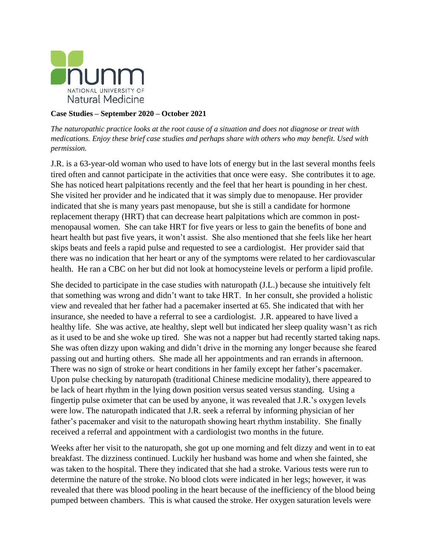

## **Case Studies – September 2020 – October 2021**

*The naturopathic practice looks at the root cause of a situation and does not diagnose or treat with medications. Enjoy these brief case studies and perhaps share with others who may benefit. Used with permission.*

J.R. is a 63-year-old woman who used to have lots of energy but in the last several months feels tired often and cannot participate in the activities that once were easy. She contributes it to age. She has noticed heart palpitations recently and the feel that her heart is pounding in her chest. She visited her provider and he indicated that it was simply due to menopause. Her provider indicated that she is many years past menopause, but she is still a candidate for hormone replacement therapy (HRT) that can decrease heart palpitations which are common in postmenopausal women. She can take HRT for five years or less to gain the benefits of bone and heart health but past five years, it won't assist. She also mentioned that she feels like her heart skips beats and feels a rapid pulse and requested to see a cardiologist. Her provider said that there was no indication that her heart or any of the symptoms were related to her cardiovascular health. He ran a CBC on her but did not look at homocysteine levels or perform a lipid profile.

She decided to participate in the case studies with naturopath (J.L.) because she intuitively felt that something was wrong and didn't want to take HRT. In her consult, she provided a holistic view and revealed that her father had a pacemaker inserted at 65. She indicated that with her insurance, she needed to have a referral to see a cardiologist. J.R. appeared to have lived a healthy life. She was active, ate healthy, slept well but indicated her sleep quality wasn't as rich as it used to be and she woke up tired. She was not a napper but had recently started taking naps. She was often dizzy upon waking and didn't drive in the morning any longer because she feared passing out and hurting others. She made all her appointments and ran errands in afternoon. There was no sign of stroke or heart conditions in her family except her father's pacemaker. Upon pulse checking by naturopath (traditional Chinese medicine modality), there appeared to be lack of heart rhythm in the lying down position versus seated versus standing. Using a fingertip pulse oximeter that can be used by anyone, it was revealed that J.R.'s oxygen levels were low. The naturopath indicated that J.R. seek a referral by informing physician of her father's pacemaker and visit to the naturopath showing heart rhythm instability. She finally received a referral and appointment with a cardiologist two months in the future.

Weeks after her visit to the naturopath, she got up one morning and felt dizzy and went in to eat breakfast. The dizziness continued. Luckily her husband was home and when she fainted, she was taken to the hospital. There they indicated that she had a stroke. Various tests were run to determine the nature of the stroke. No blood clots were indicated in her legs; however, it was revealed that there was blood pooling in the heart because of the inefficiency of the blood being pumped between chambers. This is what caused the stroke. Her oxygen saturation levels were